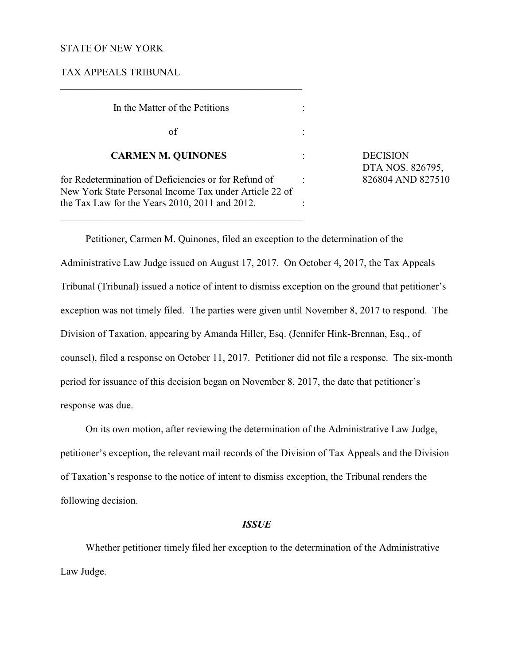## STATE OF NEW YORK

TAX APPEALS TRIBUNAL

| In the Matter of the Petitions                                                                                 |                                     |
|----------------------------------------------------------------------------------------------------------------|-------------------------------------|
| of                                                                                                             |                                     |
| <b>CARMEN M. QUINONES</b>                                                                                      | <b>DECISION</b><br>DTA NOS. 826795, |
| for Redetermination of Deficiencies or for Refund of<br>New York State Personal Income Tax under Article 22 of | 826804 AND 827510                   |
| the Tax Law for the Years 2010, 2011 and 2012.                                                                 |                                     |

 $\mathcal{L}_\mathcal{L} = \{ \mathcal{L}_\mathcal{L} = \{ \mathcal{L}_\mathcal{L} = \{ \mathcal{L}_\mathcal{L} = \{ \mathcal{L}_\mathcal{L} = \{ \mathcal{L}_\mathcal{L} = \{ \mathcal{L}_\mathcal{L} = \{ \mathcal{L}_\mathcal{L} = \{ \mathcal{L}_\mathcal{L} = \{ \mathcal{L}_\mathcal{L} = \{ \mathcal{L}_\mathcal{L} = \{ \mathcal{L}_\mathcal{L} = \{ \mathcal{L}_\mathcal{L} = \{ \mathcal{L}_\mathcal{L} = \{ \mathcal{L}_\mathcal{$ 

Petitioner, Carmen M. Quinones, filed an exception to the determination of the Administrative Law Judge issued on August 17, 2017. On October 4, 2017, the Tax Appeals Tribunal (Tribunal) issued a notice of intent to dismiss exception on the ground that petitioner's exception was not timely filed. The parties were given until November 8, 2017 to respond. The Division of Taxation, appearing by Amanda Hiller, Esq. (Jennifer Hink-Brennan, Esq., of counsel), filed a response on October 11, 2017. Petitioner did not file a response. The six-month period for issuance of this decision began on November 8, 2017, the date that petitioner's response was due.

On its own motion, after reviewing the determination of the Administrative Law Judge, petitioner's exception, the relevant mail records of the Division of Tax Appeals and the Division of Taxation's response to the notice of intent to dismiss exception, the Tribunal renders the following decision.

## *ISSUE*

Whether petitioner timely filed her exception to the determination of the Administrative Law Judge.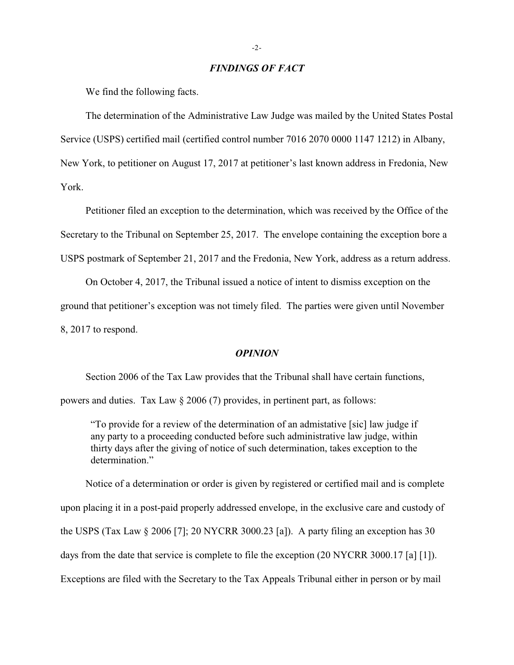## *FINDINGS OF FACT*

We find the following facts.

The determination of the Administrative Law Judge was mailed by the United States Postal Service (USPS) certified mail (certified control number 7016 2070 0000 1147 1212) in Albany, New York, to petitioner on August 17, 2017 at petitioner's last known address in Fredonia, New York.

Petitioner filed an exception to the determination, which was received by the Office of the Secretary to the Tribunal on September 25, 2017. The envelope containing the exception bore a USPS postmark of September 21, 2017 and the Fredonia, New York, address as a return address.

On October 4, 2017, the Tribunal issued a notice of intent to dismiss exception on the ground that petitioner's exception was not timely filed. The parties were given until November 8, 2017 to respond.

## *OPINION*

Section 2006 of the Tax Law provides that the Tribunal shall have certain functions,

powers and duties. Tax Law § 2006 (7) provides, in pertinent part, as follows:

"To provide for a review of the determination of an admistative [sic] law judge if any party to a proceeding conducted before such administrative law judge, within thirty days after the giving of notice of such determination, takes exception to the determination."

Notice of a determination or order is given by registered or certified mail and is complete upon placing it in a post-paid properly addressed envelope, in the exclusive care and custody of the USPS (Tax Law  $\S 2006$  [7]; 20 NYCRR 3000.23 [a]). A party filing an exception has 30 days from the date that service is complete to file the exception (20 NYCRR 3000.17 [a] [1]). Exceptions are filed with the Secretary to the Tax Appeals Tribunal either in person or by mail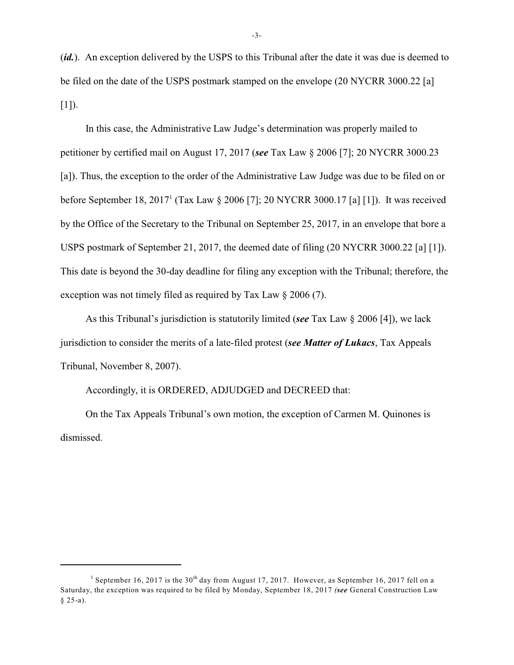(*id.*). An exception delivered by the USPS to this Tribunal after the date it was due is deemed to be filed on the date of the USPS postmark stamped on the envelope (20 NYCRR 3000.22 [a]  $[1]$ ).

In this case, the Administrative Law Judge's determination was properly mailed to petitioner by certified mail on August 17, 2017 (*see* Tax Law § 2006 [7]; 20 NYCRR 3000.23 [a]). Thus, the exception to the order of the Administrative Law Judge was due to be filed on or before September 18, 2017<sup>1</sup> (Tax Law § 2006 [7]; 20 NYCRR 3000.17 [a] [1]). It was received by the Office of the Secretary to the Tribunal on September 25, 2017, in an envelope that bore a USPS postmark of September 21, 2017, the deemed date of filing (20 NYCRR 3000.22 [a] [1]). This date is beyond the 30-day deadline for filing any exception with the Tribunal; therefore, the exception was not timely filed as required by Tax Law § 2006 (7).

As this Tribunal's jurisdiction is statutorily limited (*see* Tax Law § 2006 [4]), we lack jurisdiction to consider the merits of a late-filed protest (*see Matter of Lukacs*, Tax Appeals Tribunal, November 8, 2007).

Accordingly, it is ORDERED, ADJUDGED and DECREED that:

On the Tax Appeals Tribunal's own motion, the exception of Carmen M. Quinones is dismissed.

<sup>&</sup>lt;sup>1</sup> September 16, 2017 is the 30<sup>th</sup> day from August 17, 2017. However, as September 16, 2017 fell on a Saturday, the exception was required to be filed by Monday, September 18, 2017 *(see* General Construction Law  $§ 25-a).$